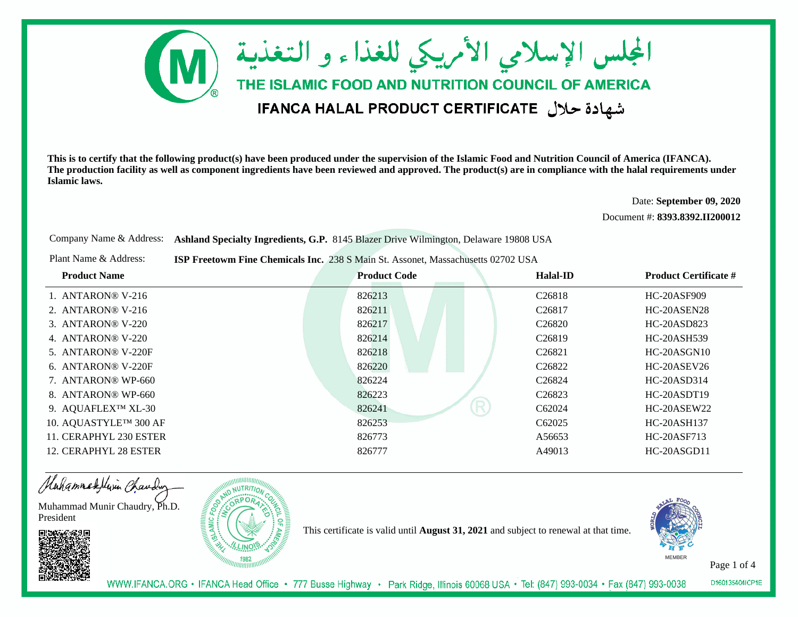

Date: **September 09, 2020**

Document #: **8393.8392.II200012**

Company Name & Address: **Ashland Specialty Ingredients, G.P.** 8145 Blazer Drive Wilmington, Delaware 19808 USA

Plant Name & Address:**ISP Freetowm Fine Chemicals Inc.** 238 S Main St. Assonet, Massachusetts 02702 USA

| <b>Product Name</b>                | <b>Product Code</b> | Halal-ID           | <b>Product Certificate #</b> |
|------------------------------------|---------------------|--------------------|------------------------------|
| 1. $ANTARON@V-216$                 | 826213              | C <sub>26818</sub> | HC-20ASF909                  |
| 2. $ANTARON@V-216$                 | 826211              | C <sub>26817</sub> | HC-20ASEN28                  |
| 3. ANTARON® V-220                  | 826217              | C <sub>26820</sub> | HC-20ASD823                  |
| 4. ANTARON® V-220                  | 826214              | C <sub>26819</sub> | HC-20ASH539                  |
| 5. ANTARON® V-220F                 | 826218              | C <sub>26821</sub> | $HC-20ASGN10$                |
| 6. ANTARON® V-220F                 | 826220              | C <sub>26822</sub> | HC-20ASEV26                  |
| 7. ANTARON® WP-660                 | 826224              | C <sub>26824</sub> | HC-20ASD314                  |
| 8. ANTARON® WP-660                 | 826223              | C <sub>26823</sub> | HC-20ASDT19                  |
| 9. AQUAFLEX <sup>TM</sup> XL-30    | 826241              | R<br>C62024        | HC-20ASEW22                  |
| 10. AQUASTYLE <sup>TM</sup> 300 AF | 826253              | C <sub>62025</sub> | HC-20ASH137                  |
| 11. CERAPHYL 230 ESTER             | 826773              | A56653             | HC-20ASF713                  |
| 12. CERAPHYL 28 ESTER              | 826777              | A49013             | HC-20ASGD11                  |

Hahammadellin Chauding

Muhammad Munir Chaudry, Ph.D.President





This certificate is valid until **August 31, 2021** and subject to renewal at that time.



Page 1 of 4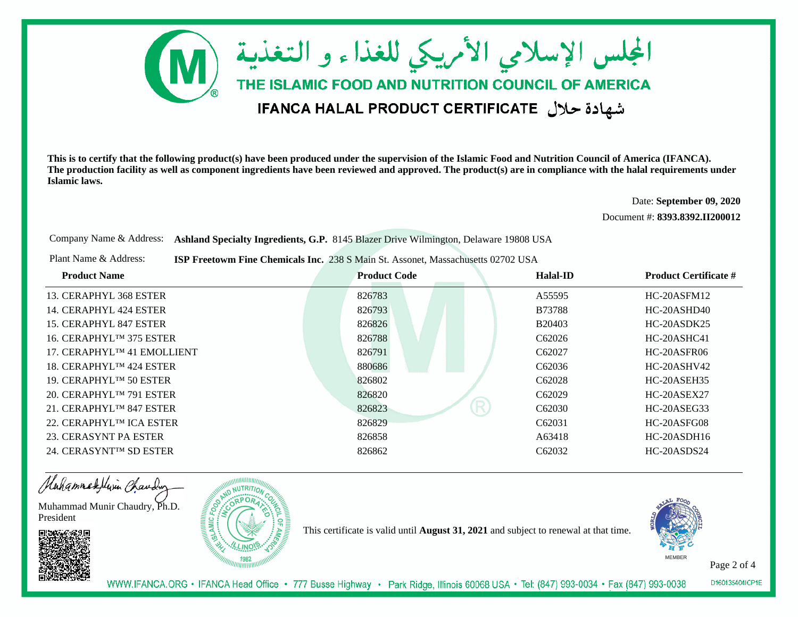

Date: **September 09, 2020**

Document #: **8393.8392.II200012**

Company Name & Address: **Ashland Specialty Ingredients, G.P.** 8145 Blazer Drive Wilmington, Delaware 19808 USA

Plant Name & Address:**ISP Freetowm Fine Chemicals Inc.** 238 S Main St. Assonet, Massachusetts 02702 USA

| <b>Product Name</b>                     | <b>Product Code</b> | Halal-ID           | <b>Product Certificate #</b> |
|-----------------------------------------|---------------------|--------------------|------------------------------|
| 13. CERAPHYL 368 ESTER                  | 826783              | A55595             | $HC-20A$ SFM $12$            |
| 14. CERAPHYL 424 ESTER                  | 826793              | <b>B73788</b>      | HC-20ASHD40                  |
| 15. CERAPHYL 847 ESTER                  | 826826              | B20403             | $HC-20ASDK25$                |
| 16. CERAPHYL <sup>TM</sup> 375 ESTER    | 826788              | C <sub>62026</sub> | HC-20ASHC41                  |
| 17. CERAPHYL <sup>TM</sup> 41 EMOLLIENT | 826791              | C62027             | HC-20ASFR06                  |
| 18. CERAPHYL <sup>TM</sup> 424 ESTER    | 880686              | C62036             | $HC-20ASHV42$                |
| 19. CERAPHYLTM 50 ESTER                 | 826802              | C <sub>62028</sub> | HC-20ASEH35                  |
| 20. CERAPHYL <sup>TM</sup> 791 ESTER    | 826820              | C <sub>62029</sub> | HC-20ASEX27                  |
| 21. CERAPHYL <sup>TM</sup> 847 ESTER    | R<br>826823         | C62030             | HC-20ASEG33                  |
| 22. CERAPHYLIM ICA ESTER                | 826829              | C62031             | HC-20ASFG08                  |
| 23. CERASYNT PA ESTER                   | 826858              | A63418             | $HC-20ASDH16$                |
| 24. CERASYNT <sup>IM</sup> SD ESTER     | 826862              | C62032             | HC-20ASDS24                  |

Hahammadellin Chauding

Muhammad Munir Chaudry, Ph.D.President





This certificate is valid until **August 31, 2021** and subject to renewal at that time.



Page 2 of 4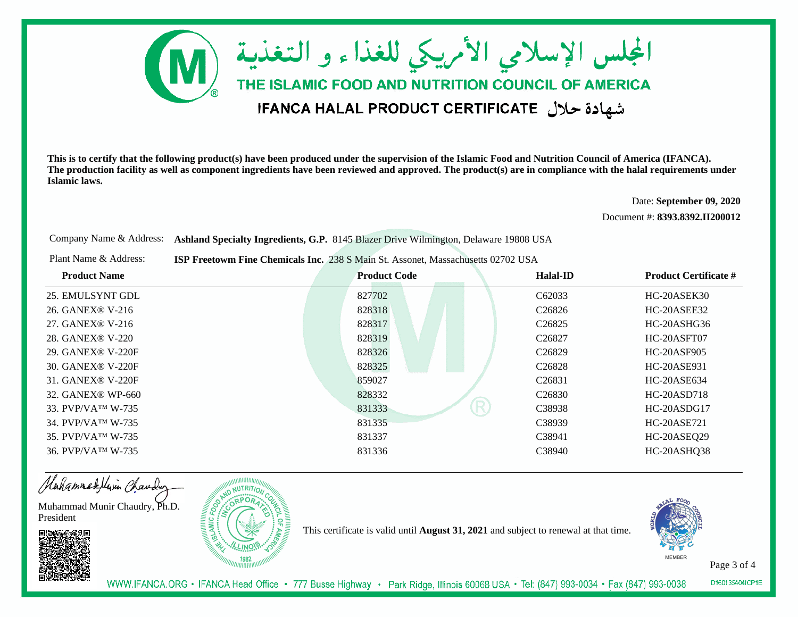

Date: **September 09, 2020**

Document #: **8393.8392.II200012**

Company Name & Address: **Ashland Specialty Ingredients, G.P.** 8145 Blazer Drive Wilmington, Delaware 19808 USA

Plant Name & Address:**ISP Freetowm Fine Chemicals Inc.** 238 S Main St. Assonet, Massachusetts 02702 USA

| <b>Product Name</b>            | <b>Product Code</b> | Halal-ID           | <b>Product Certificate #</b> |
|--------------------------------|---------------------|--------------------|------------------------------|
| 25. EMULSYNT GDL               | 827702              | C62033             | HC-20ASEK30                  |
| 26. GANEX® V-216               | 828318              | C <sub>26826</sub> | HC-20ASEE32                  |
| 27. GANEX® V-216               | 828317              | C <sub>26825</sub> | HC-20ASHG36                  |
| 28. GANEX® V-220               | 828319              | C <sub>26827</sub> | HC-20ASFT07                  |
| 29. GANEX® V-220F              | 828326              | C <sub>26829</sub> | HC-20ASF905                  |
| 30. GANEX <sup>®</sup> V-220F  | 828325              | C <sub>26828</sub> | HC-20ASE931                  |
| 31. GANEX® V-220F              | 859027              | C <sub>26831</sub> | HC-20ASE634                  |
| 32. GANEX® WP-660              | 828332              | C <sub>26830</sub> | HC-20ASD718                  |
| 33. PVP/VA <sup>TM</sup> W-735 | R<br>831333         | C38938             | HC-20ASDG17                  |
| 34. PVP/VATM W-735             | 831335              | C38939             | HC-20ASE721                  |
| 35. PVP/VATM W-735             | 831337              | C38941             | HC-20ASEQ29                  |
| 36. PVP/VA <sup>TM</sup> W-735 | 831336              | C38940             | HC-20ASHQ38                  |

Hahammadellin Chauding

Muhammad Munir Chaudry, Ph.D.President



This certificate is valid until **August 31, 2021** and subject to renewal at that time.



Page 3 of 4